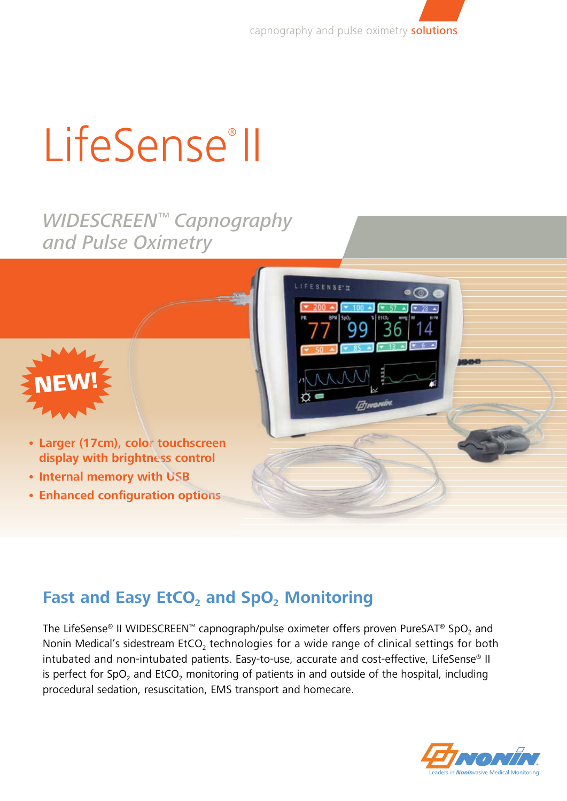capnography and pulse oximetry **solutions** 

# LifeSense<sup>®</sup>II

# *WIDESCREEN™ Capnography and Pulse Oximetry*



- **• Larger (17cm), color touchscreen display with brightness control**
- **• Internal memory with USB**
- **• Enhanced configuration options**

# **Fast and Easy EtCO<sub>2</sub> and SpO<sub>2</sub> Monitoring**

The LifeSense® II WIDESCREEN™ capnograph/pulse oximeter offers proven PureSAT® SpO, and Nonin Medical's sidestream  $ECO<sub>2</sub>$  technologies for a wide range of clinical settings for both intubated and non-intubated patients. Easy-to-use, accurate and cost-effective, LifeSense® II is perfect for SpO<sub>2</sub> and EtCO<sub>2</sub> monitoring of patients in and outside of the hospital, including procedural sedation, resuscitation, EMS transport and homecare.